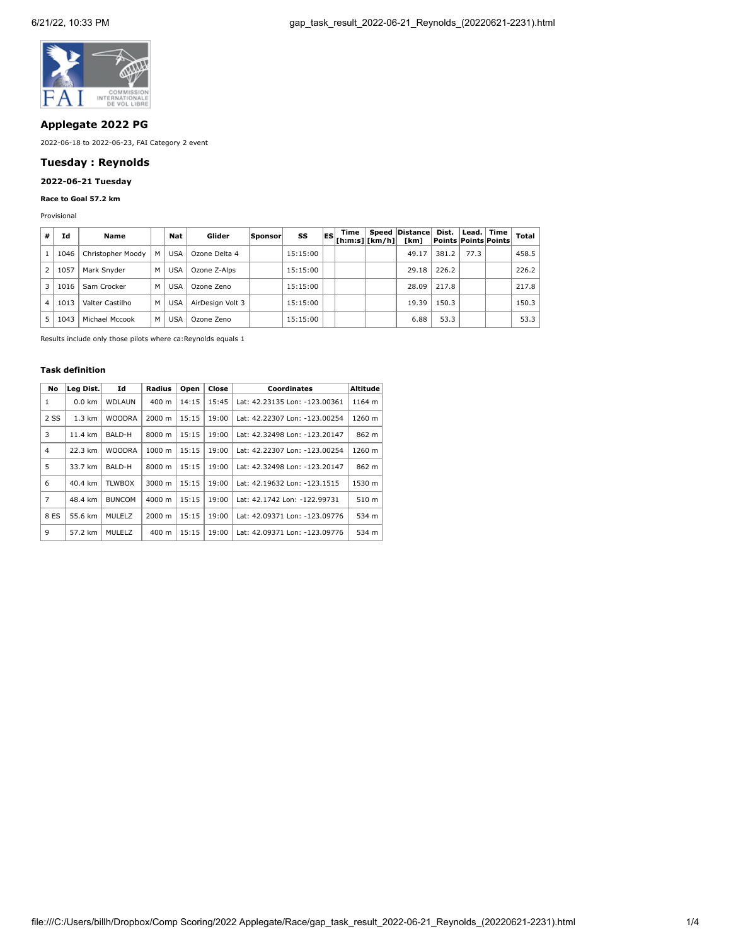

## **Applegate 2022 PG**

2022-06-18 to 2022-06-23, FAI Category 2 event

## **Tuesday : Reynolds**

# **2022-06-21 Tuesday**

## **Race to Goal 57.2 km**

Provisional

| #              | Ιd   | Name              |   | Nat        | Glider           | Sponsor | SS       | lES) | Time<br>[ h: m: s]   [ km/h] | Speed Distance<br>[km] | Dist.<br>  Points   Points   Points | Lead. Time | Total |
|----------------|------|-------------------|---|------------|------------------|---------|----------|------|------------------------------|------------------------|-------------------------------------|------------|-------|
|                | 1046 | Christopher Moody | м | <b>USA</b> | Ozone Delta 4    |         | 15:15:00 |      |                              | 49.17                  | 381.2                               | 77.3       | 458.5 |
| $\overline{2}$ | 1057 | Mark Snyder       | м | <b>USA</b> | Ozone Z-Alps     |         | 15:15:00 |      |                              | 29.18                  | 226.2                               |            | 226.2 |
| 3              | 1016 | Sam Crocker       | м | <b>USA</b> | Ozone Zeno       |         | 15:15:00 |      |                              | 28.09                  | 217.8                               |            | 217.8 |
| 4              | 1013 | Valter Castilho   | M | <b>USA</b> | AirDesign Volt 3 |         | 15:15:00 |      |                              | 19.39                  | 150.3                               |            | 150.3 |
|                | 1043 | Michael Mccook    | м | USA        | Ozone Zeno       |         | 15:15:00 |      |                              | 6.88                   | 53.3                                |            | 53.3  |

Results include only those pilots where ca:Reynolds equals 1

### **Task definition**

| No   | Leg Dist.        | Id            | Radius             | Open  | Close | <b>Coordinates</b>            | <b>Altitude</b>  |
|------|------------------|---------------|--------------------|-------|-------|-------------------------------|------------------|
| 1    | $0.0$ km         | WDLAUN        | $400 \text{ m}$    | 14:15 | 15:45 | Lat: 42.23135 Lon: -123.00361 | 1164 m           |
| 2 SS | $1.3 \text{ km}$ | <b>WOODRA</b> | 2000 m             | 15:15 | 19:00 | Lat: 42.22307 Lon: -123.00254 | 1260 m           |
| 3    | 11.4 km          | BALD-H        | 8000 m             | 15:15 | 19:00 | Lat: 42.32498 Lon: -123.20147 | 862 m            |
| 4    | 22.3 km          | <b>WOODRA</b> | $1000 \; \text{m}$ | 15:15 | 19:00 | Lat: 42.22307 Lon: -123.00254 | 1260 m           |
| 5    | 33.7 km          | BALD-H        | 8000 m             | 15:15 | 19:00 | Lat: 42.32498 Lon: -123.20147 | 862 m            |
| 6    | 40.4 km          | <b>TLWBOX</b> | 3000 m             | 15:15 | 19:00 | Lat: 42.19632 Lon: -123.1515  | 1530 m           |
| 7    | 48.4 km          | <b>BUNCOM</b> | 4000 m             | 15:15 | 19:00 | Lat: 42.1742 Lon: -122.99731  | 510 <sub>m</sub> |
| 8 ES | 55.6 km          | MULELZ        | 2000 m             | 15:15 | 19:00 | Lat: 42.09371 Lon: -123.09776 | 534 m            |
| 9    | 57.2 km          | MULELZ        | 400 m              | 15:15 | 19:00 | Lat: 42.09371 Lon: -123.09776 | 534 m            |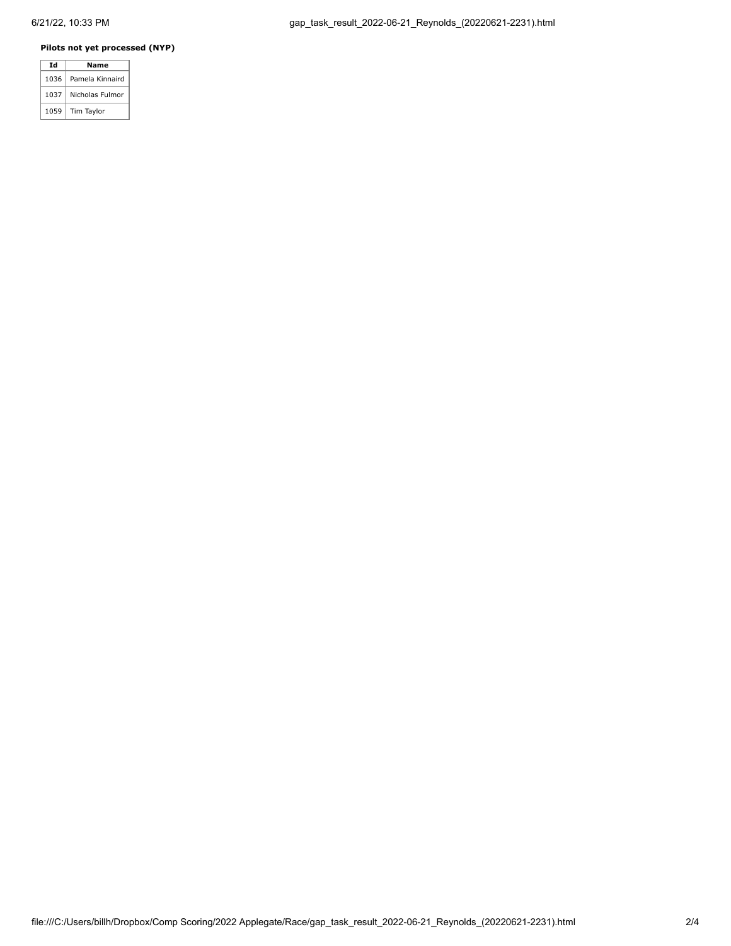## **Pilots not yet processed (NYP)**

|  | Td   | Name            |  |  |  |  |
|--|------|-----------------|--|--|--|--|
|  | 1036 | Pamela Kinnaird |  |  |  |  |
|  | 1037 | Nicholas Fulmor |  |  |  |  |
|  | 1059 | Tim Taylor      |  |  |  |  |
|  |      |                 |  |  |  |  |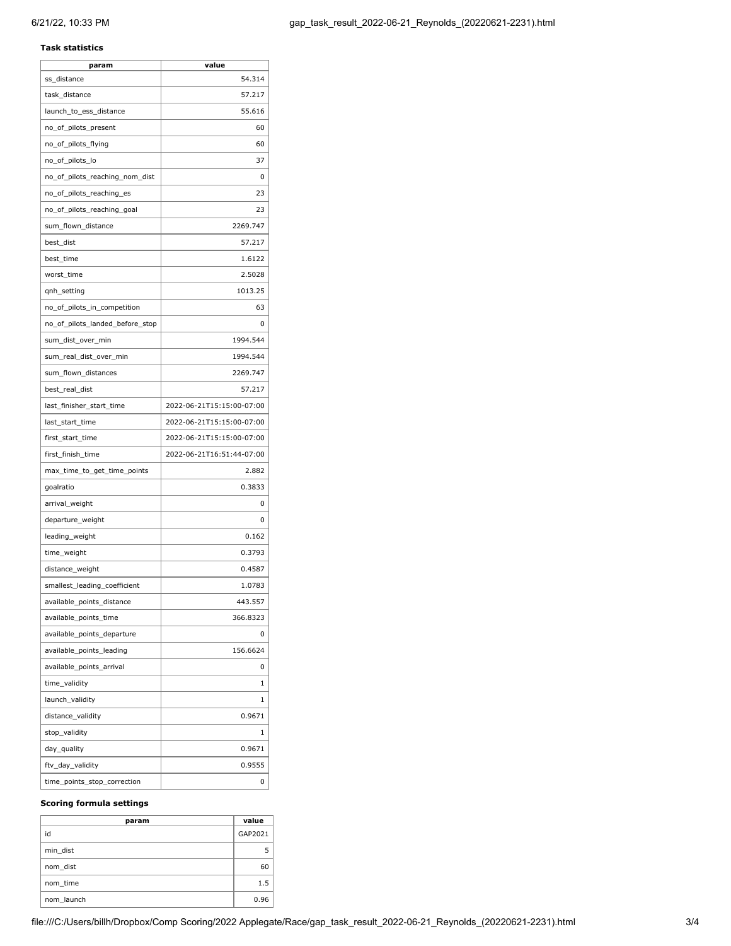### **Task statistics**

| param                           | value                     |
|---------------------------------|---------------------------|
| ss_distance                     | 54.314                    |
| task distance                   | 57.217                    |
| launch_to_ess_distance          | 55.616                    |
| no_of_pilots_present            | 60                        |
| no_of_pilots_flying             | 60                        |
| no_of_pilots_lo                 | 37                        |
| no_of_pilots_reaching_nom_dist  | 0                         |
| no_of_pilots_reaching_es        | 23                        |
| no_of_pilots_reaching_goal      | 23                        |
| sum_flown_distance              | 2269.747                  |
| best_dist                       | 57.217                    |
| best_time                       | 1.6122                    |
| worst_time                      | 2.5028                    |
| qnh_setting                     | 1013.25                   |
| no_of_pilots_in_competition     | 63                        |
| no_of_pilots_landed_before_stop | 0                         |
| sum_dist_over_min               | 1994.544                  |
| sum_real_dist_over_min          | 1994.544                  |
| sum_flown_distances             | 2269.747                  |
| best_real_dist                  | 57.217                    |
| last_finisher_start_time        | 2022-06-21T15:15:00-07:00 |
| last_start_time                 | 2022-06-21T15:15:00-07:00 |
| first_start_time                | 2022-06-21T15:15:00-07:00 |
| first_finish_time               | 2022-06-21T16:51:44-07:00 |
| max_time_to_get_time_points     | 2.882                     |
| goalratio                       | 0.3833                    |
| arrival_weight                  | 0                         |
| departure_weight                | 0                         |
| leading_weight                  | 0.162                     |
| time_weight                     | 0.3793                    |
| distance_weight                 | 0.4587                    |
| smallest_leading_coefficient    | 1.0783                    |
| available_points_distance       | 443.557                   |
| available_points_time           | 366.8323                  |
| available_points_departure      | 0                         |
| available_points_leading        | 156.6624                  |
| available_points_arrival        | 0                         |
| time_validity                   | 1                         |
| launch_validity                 | 1                         |
| distance_validity               | 0.9671                    |
| stop_validity                   | 1                         |
| day_quality                     | 0.9671                    |
| ftv_day_validity                | 0.9555                    |
| time_points_stop_correction     | 0                         |

#### **Scoring formula settings**

| param      | value   |
|------------|---------|
| id         | GAP2021 |
| min dist   |         |
| nom dist   | 60      |
| nom time   | 1.5     |
| nom launch | 0.96    |